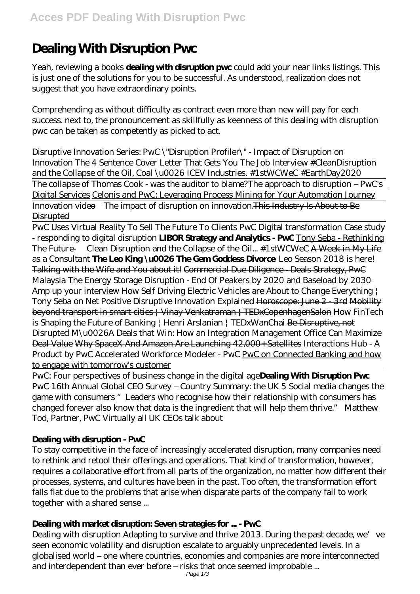# **Dealing With Disruption Pwc**

Yeah, reviewing a books **dealing with disruption pwc** could add your near links listings. This is just one of the solutions for you to be successful. As understood, realization does not suggest that you have extraordinary points.

Comprehending as without difficulty as contract even more than new will pay for each success. next to, the pronouncement as skillfully as keenness of this dealing with disruption pwc can be taken as competently as picked to act.

*Disruptive Innovation Series: PwC \"Disruption Profiler\" - Impact of Disruption on Innovation The 4 Sentence Cover Letter That Gets You The Job Interview #CleanDisruption and the Collapse of the Oil, Coal \u0026 ICEV Industries. #1stWCWeC #EarthDay2020* The collapse of Thomas Cook - was the auditor to blame?The approach to disruption – PwC's Digital Services Celonis and PwC: Leveraging Process Mining for Your Automation Journey Innovation video—The impact of disruption on innovation.This Industry Is About to Be **Disrupted** 

PwC Uses Virtual Reality To Sell The Future To Clients PwC Digital transformation Case study - responding to digital disruption **LIBOR Strategy and Analytics - PwC** Tony Seba - Rethinking The Future — Clean Disruption and the Collapse of the Oil... #1stWCWeC A Week in My Life as a Consultant **The Leo King \u0026 The Gem Goddess Divorce** Leo Season 2018 is here! Talking with the Wife and You about it! Commercial Due Diligence - Deals Strategy, PwC Malaysia The Energy Storage Disruption - End Of Peakers by 2020 and Baseload by 2030 *Amp up your interview How Self Driving Electric Vehicles are About to Change Everything | Tony Seba on Net Positive Disruptive Innovation Explained* Horoscope: June 2 - 3rd Mobility beyond transport in smart cities | Vinay Venkatraman | TEDxCopenhagenSalon How FinTech is Shaping the Future of Banking | Henri Arslanian | TEDxWanChai <del>Be Disruptive, not</del> Disrupted M\u0026A Deals that Win: How an Integration Management Office Can Maximize Deal Value Why SpaceX And Amazon Are Launching 42,000+ Satellites *Interactions Hub - A Product by PwC* Accelerated Workforce Modeler - PwC PwC on Connected Banking and how to engage with tomorrow's customer

PwC: Four perspectives of business change in the digital age**Dealing With Disruption Pwc** PwC 16th Annual Global CEO Survey – Country Summary: the UK 5 Social media changes the game with consumers "Leaders who recognise how their relationship with consumers has changed forever also know that data is the ingredient that will help them thrive." Matthew Tod, Partner, PwC Virtually all UK CEOs talk about

#### **Dealing with disruption - PwC**

To stay competitive in the face of increasingly accelerated disruption, many companies need to rethink and retool their offerings and operations. That kind of transformation, however, requires a collaborative effort from all parts of the organization, no matter how different their processes, systems, and cultures have been in the past. Too often, the transformation effort falls flat due to the problems that arise when disparate parts of the company fail to work together with a shared sense ...

#### **Dealing with market disruption: Seven strategies for ... - PwC**

Dealing with disruption Adapting to survive and thrive 2013. During the past decade, we've seen economic volatility and disruption escalate to arguably unprecedented levels. In a globalised world – one where countries, economies and companies are more interconnected and interdependent than ever before – risks that once seemed improbable ...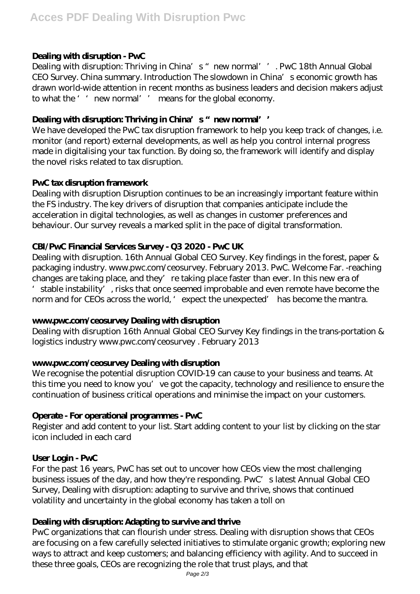#### **Dealing with disruption - PwC**

Dealing with disruption: Thriving in China's "new normal''. PwC 18th Annual Global CEO Survey. China summary. Introduction The slowdown in China's economic growth has drawn world-wide attention in recent months as business leaders and decision makers adjust to what the '' new normal'' means for the global economy.

#### Dealing with disruption: Thriving in China's "new normal''

We have developed the PwC tax disruption framework to help you keep track of changes, i.e. monitor (and report) external developments, as well as help you control internal progress made in digitalising your tax function. By doing so, the framework will identify and display the novel risks related to tax disruption.

#### **PwC tax disruption framework**

Dealing with disruption Disruption continues to be an increasingly important feature within the FS industry. The key drivers of disruption that companies anticipate include the acceleration in digital technologies, as well as changes in customer preferences and behaviour. Our survey reveals a marked split in the pace of digital transformation.

## **CBI/PwC Financial Services Survey - Q3 2020 - PwC UK**

Dealing with disruption. 16th Annual Global CEO Survey. Key findings in the forest, paper & packaging industry. www.pwc.com/ceosurvey. February 2013. PwC. Welcome Far. -reaching changes are taking place, and they're taking place faster than ever. In this new era of stable instability', risks that once seemed improbable and even remote have become the norm and for CEOs across the world, ' expect the unexpected' has become the mantra.

#### **www.pwc.com/ceosurvey Dealing with disruption**

Dealing with disruption 16th Annual Global CEO Survey Key findings in the trans-portation & logistics industry www.pwc.com/ceosurvey . February 2013

#### **www.pwc.com/ceosurvey Dealing with disruption**

We recognise the potential disruption COVID-19 can cause to your business and teams. At this time you need to know you've got the capacity, technology and resilience to ensure the continuation of business critical operations and minimise the impact on your customers.

#### **Operate - For operational programmes - PwC**

Register and add content to your list. Start adding content to your list by clicking on the star icon included in each card

#### **User Login - PwC**

For the past 16 years, PwC has set out to uncover how CEOs view the most challenging business issues of the day, and how they're responding. PwC's latest Annual Global CEO Survey, Dealing with disruption: adapting to survive and thrive, shows that continued volatility and uncertainty in the global economy has taken a toll on

#### **Dealing with disruption: Adapting to survive and thrive**

PwC organizations that can flourish under stress. Dealing with disruption shows that CEOs are focusing on a few carefully selected initiatives to stimulate organic growth; exploring new ways to attract and keep customers; and balancing efficiency with agility. And to succeed in these three goals, CEOs are recognizing the role that trust plays, and that